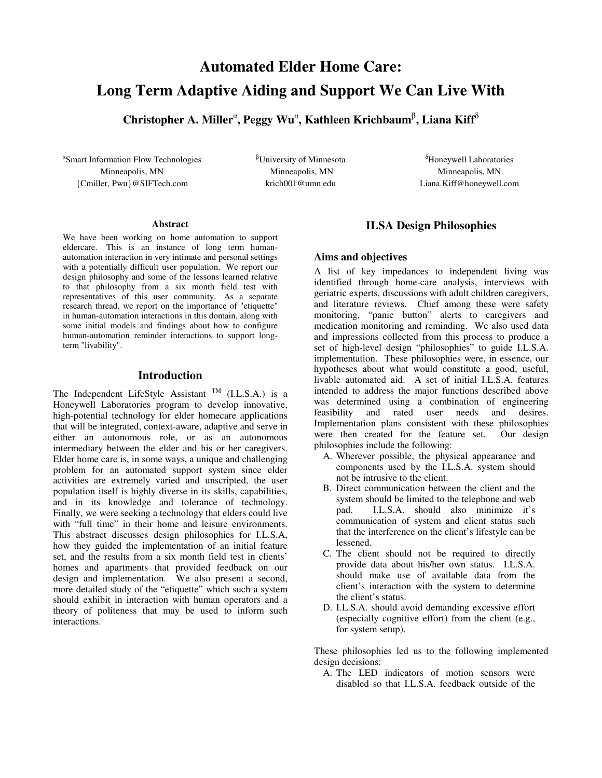# **Automated Elder Home Care: Long Term Adaptive Aiding and Support We Can Live With**

**Christopher A. Miller , Peggy Wu , Kathleen Krichbaum** β **, Liana Kiff** δ

 Smart Information Flow Technologies Minneapolis, MN {Cmiller, Pwu}@SIFTech.com

<sup>β</sup>University of Minnesota Minneapolis, MN krich001@umn.edu

<sup>δ</sup>Honeywell Laboratories Minneapolis, MN Liana.Kiff@honeywell.com

#### **Abstract**

We have been working on home automation to support eldercare. This is an instance of long term humanautomation interaction in very intimate and personal settings with a potentially difficult user population. We report our design philosophy and some of the lessons learned relative to that philosophy from a six month field test with representatives of this user community. As a separate research thread, we report on the importance of "etiquette" in human-automation interactions in this domain, along with some initial models and findings about how to configure human-automation reminder interactions to support longterm "livability".

### **Introduction**

The Independent LifeStyle Assistant  $^{TM}$  (I.L.S.A.) is a Honeywell Laboratories program to develop innovative, high-potential technology for elder homecare applications that will be integrated, context-aware, adaptive and serve in either an autonomous role, or as an autonomous intermediary between the elder and his or her caregivers. Elder home care is, in some ways, a unique and challenging problem for an automated support system since elder activities are extremely varied and unscripted, the user population itself is highly diverse in its skills, capabilities, and in its knowledge and tolerance of technology. Finally, we were seeking a technology that elders could live with "full time" in their home and leisure environments. This abstract discusses design philosophies for I.L.S.A, how they guided the implementation of an initial feature set, and the results from a six month field test in clients' homes and apartments that provided feedback on our design and implementation. We also present a second, more detailed study of the "etiquette" which such a system should exhibit in interaction with human operators and a theory of politeness that may be used to inform such interactions.

# **ILSA Design Philosophies**

#### **Aims and objectives**

A list of key impedances to independent living was identified through home-care analysis, interviews with geriatric experts, discussions with adult children caregivers, and literature reviews. Chief among these were safety monitoring, "panic button" alerts to caregivers and medication monitoring and reminding. We also used data and impressions collected from this process to produce a set of high-level design "philosophies" to guide I.L.S.A. implementation. These philosophies were, in essence, our hypotheses about what would constitute a good, useful, livable automated aid. A set of initial I.L.S.A. features intended to address the major functions described above was determined using a combination of engineering feasibility and rated user needs and desires. Implementation plans consistent with these philosophies were then created for the feature set. Our design philosophies include the following:

- A. Wherever possible, the physical appearance and components used by the I.L.S.A. system should not be intrusive to the client.
- B. Direct communication between the client and the system should be limited to the telephone and web pad. I.L.S.A. should also minimize it's communication of system and client status such that the interference on the client's lifestyle can be lessened.
- C. The client should not be required to directly provide data about his/her own status. I.L.S.A. should make use of available data from the client's interaction with the system to determine the client's status.
- D. I.L.S.A. should avoid demanding excessive effort (especially cognitive effort) from the client (e.g., for system setup).

These philosophies led us to the following implemented design decisions:

A. The LED indicators of motion sensors were disabled so that I.L.S.A. feedback outside of the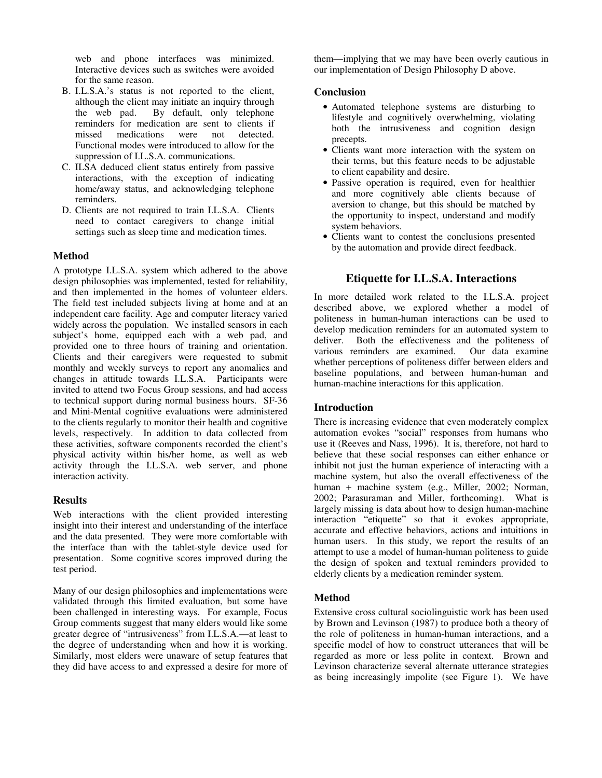web and phone interfaces was minimized. Interactive devices such as switches were avoided for the same reason.

- B. I.L.S.A.'s status is not reported to the client, although the client may initiate an inquiry through<br>the web pad. By default, only telephone By default, only telephone reminders for medication are sent to clients if missed medications were not detected. Functional modes were introduced to allow for the suppression of I.L.S.A. communications.
- C. ILSA deduced client status entirely from passive interactions, with the exception of indicating home/away status, and acknowledging telephone reminders.
- D. Clients are not required to train I.L.S.A. Clients need to contact caregivers to change initial settings such as sleep time and medication times.

# **Method**

A prototype I.L.S.A. system which adhered to the above design philosophies was implemented, tested for reliability, and then implemented in the homes of volunteer elders. The field test included subjects living at home and at an independent care facility. Age and computer literacy varied widely across the population. We installed sensors in each subject's home, equipped each with a web pad, and provided one to three hours of training and orientation. Clients and their caregivers were requested to submit monthly and weekly surveys to report any anomalies and changes in attitude towards I.L.S.A. Participants were invited to attend two Focus Group sessions, and had access to technical support during normal business hours. SF-36 and Mini-Mental cognitive evaluations were administered to the clients regularly to monitor their health and cognitive levels, respectively. In addition to data collected from these activities, software components recorded the client's physical activity within his/her home, as well as web activity through the I.L.S.A. web server, and phone interaction activity.

#### **Results**

Web interactions with the client provided interesting insight into their interest and understanding of the interface and the data presented. They were more comfortable with the interface than with the tablet-style device used for presentation. Some cognitive scores improved during the test period.

Many of our design philosophies and implementations were validated through this limited evaluation, but some have been challenged in interesting ways. For example, Focus Group comments suggest that many elders would like some greater degree of "intrusiveness" from I.L.S.A.—at least to the degree of understanding when and how it is working. Similarly, most elders were unaware of setup features that they did have access to and expressed a desire for more of

them—implying that we may have been overly cautious in our implementation of Design Philosophy D above.

#### **Conclusion**

- Automated telephone systems are disturbing to lifestyle and cognitively overwhelming, violating both the intrusiveness and cognition design precepts.
- Clients want more interaction with the system on their terms, but this feature needs to be adjustable to client capability and desire.
- Passive operation is required, even for healthier and more cognitively able clients because of aversion to change, but this should be matched by the opportunity to inspect, understand and modify system behaviors.
- Clients want to contest the conclusions presented by the automation and provide direct feedback.

#### **Etiquette for I.L.S.A. Interactions**

In more detailed work related to the I.L.S.A. project described above, we explored whether a model of politeness in human-human interactions can be used to develop medication reminders for an automated system to deliver. Both the effectiveness and the politeness of various reminders are examined. Our data examine whether perceptions of politeness differ between elders and baseline populations, and between human-human and human-machine interactions for this application.

#### **Introduction**

There is increasing evidence that even moderately complex automation evokes "social" responses from humans who use it (Reeves and Nass, 1996). It is, therefore, not hard to believe that these social responses can either enhance or inhibit not just the human experience of interacting with a machine system, but also the overall effectiveness of the human + machine system (e.g., Miller, 2002; Norman, 2002; Parasuraman and Miller, forthcoming). What is largely missing is data about how to design human-machine interaction "etiquette" so that it evokes appropriate, accurate and effective behaviors, actions and intuitions in human users. In this study, we report the results of an attempt to use a model of human-human politeness to guide the design of spoken and textual reminders provided to elderly clients by a medication reminder system.

#### **Method**

Extensive cross cultural sociolinguistic work has been used by Brown and Levinson (1987) to produce both a theory of the role of politeness in human-human interactions, and a specific model of how to construct utterances that will be regarded as more or less polite in context. Brown and Levinson characterize several alternate utterance strategies as being increasingly impolite (see Figure 1). We have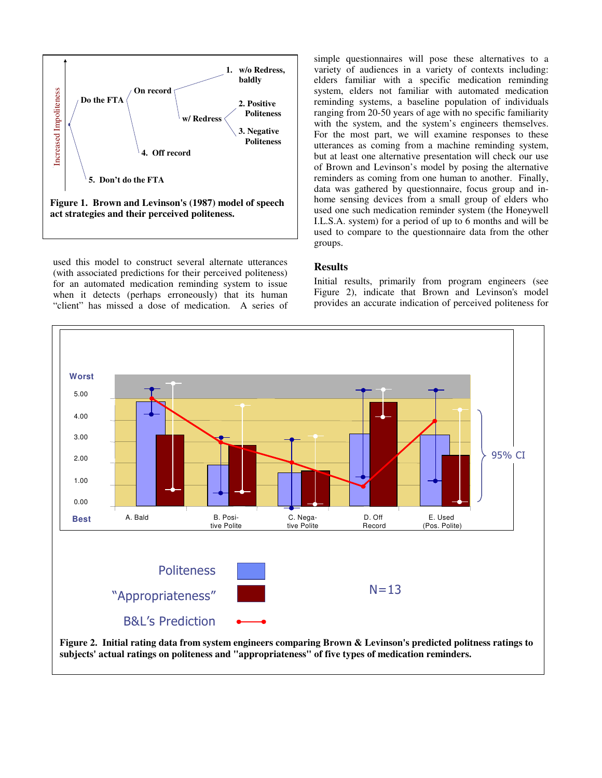

used this model to construct several alternate utterances (with associated predictions for their perceived politeness) for an automated medication reminding system to issue when it detects (perhaps erroneously) that its human "client" has missed a dose of medication. A series of

simple questionnaires will pose these alternatives to a variety of audiences in a variety of contexts including: elders familiar with a specific medication reminding system, elders not familiar with automated medication reminding systems, a baseline population of individuals ranging from 20-50 years of age with no specific familiarity with the system, and the system's engineers themselves. For the most part, we will examine responses to these utterances as coming from a machine reminding system, but at least one alternative presentation will check our use of Brown and Levinson's model by posing the alternative reminders as coming from one human to another. Finally, data was gathered by questionnaire, focus group and inhome sensing devices from a small group of elders who used one such medication reminder system (the Honeywell I.L.S.A. system) for a period of up to 6 months and will be used to compare to the questionnaire data from the other groups.

#### **Results**

Initial results, primarily from program engineers (see Figure 2), indicate that Brown and Levinson's model provides an accurate indication of perceived politeness for



**subjects' actual ratings on politeness and "appropriateness" of five types of medication reminders.**